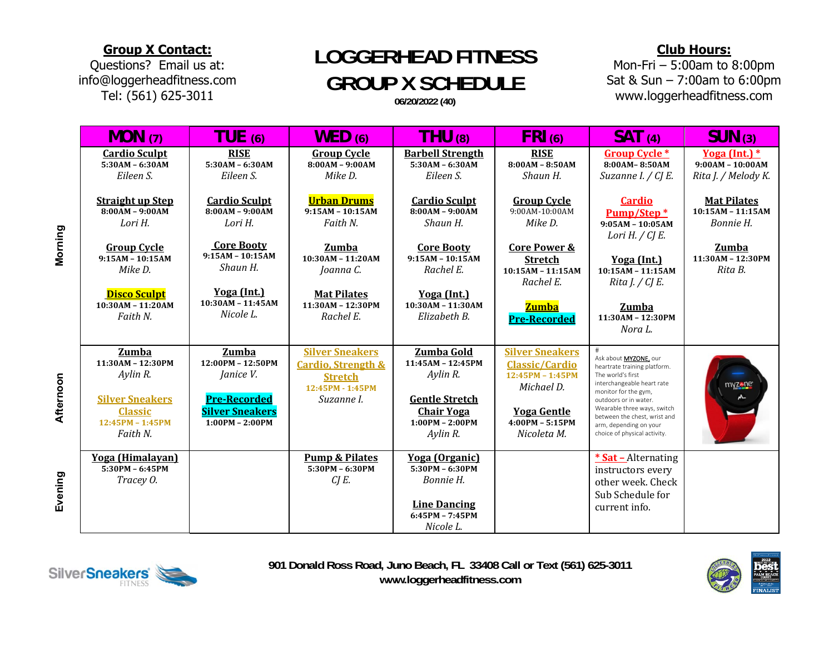### **Group X Contact:**

Questions? Email us at: info@loggerheadfitness.com Tel: (561) 625-3011

# ` / **LOGGERHEAD FITNESS GROUP X SCHEDULE**

**06/20/2022 (40)**

### **Club Hours:**

Mon-Fri – 5:00am to 8:00pm Sat & Sun – 7:00am to 6:00pm www.loggerheadfitness.com

| MON(7)                                                                                                               | TUE (6)                                                                                                       | WED(6)                                                                                                      | THU (8)                                                                                                                    | $FRI$ (6)                                                                                                                                   | SAT(4)                                                                                                                                                                                                                                                                                  | SUN(3)                                                    |
|----------------------------------------------------------------------------------------------------------------------|---------------------------------------------------------------------------------------------------------------|-------------------------------------------------------------------------------------------------------------|----------------------------------------------------------------------------------------------------------------------------|---------------------------------------------------------------------------------------------------------------------------------------------|-----------------------------------------------------------------------------------------------------------------------------------------------------------------------------------------------------------------------------------------------------------------------------------------|-----------------------------------------------------------|
| <b>Cardio Sculpt</b><br>$5:30AM - 6:30AM$<br>Eileen S.                                                               | <b>RISE</b><br>$5:30AM - 6:30AM$<br>Eileen S.                                                                 | <b>Group Cycle</b><br>$8:00AM - 9:00AM$<br>Mike D.                                                          | <b>Barbell Strength</b><br>5:30AM - 6:30AM<br>Eileen S.                                                                    | <b>RISE</b><br>$8:00AM - 8:50AM$<br>Shaun H.                                                                                                | <b>Group Cycle *</b><br>8:00AM-8:50AM<br>Suzanne I. / CJ E.                                                                                                                                                                                                                             | Yoga (Int.)*<br>$9:00AM - 10:00AM$<br>Rita J. / Melody K. |
| <b>Straight up Step</b><br>$8:00AM - 9:00AM$<br>Lori H.                                                              | <b>Cardio Sculpt</b><br>$8:00AM - 9:00AM$<br>Lori H.                                                          | <b>Urban Drums</b><br>$9:15AM - 10:15AM$<br>Faith N.                                                        | <b>Cardio Sculpt</b><br>$8:00AM - 9:00AM$<br>Shaun H.                                                                      | <b>Group Cycle</b><br>$9:00AM-10:00AM$<br>Mike D.                                                                                           | <b>Cardio</b><br>Pump/Step*<br>$9:05AM - 10:05AM$<br>Lori H. $\angle$ CJ E.                                                                                                                                                                                                             | <b>Mat Pilates</b><br>$10:15AM - 11:15AM$<br>Bonnie H.    |
| <b>Group Cycle</b><br>$9:15AM - 10:15AM$<br>Mike D.                                                                  | <b>Core Booty</b><br>$9:15AM - 10:15AM$<br>Shaun H.                                                           | <b>Zumba</b><br>$10:30AM - 11:20AM$<br>Joanna C.                                                            | <b>Core Booty</b><br>$9:15AM - 10:15AM$<br>Rachel E.                                                                       | <b>Core Power &amp;</b><br><b>Stretch</b><br>10:15AM - 11:15AM<br>Rachel E.                                                                 | Yoga (Int.)<br>10:15AM - 11:15AM<br>Rita $J \, / \, C J E$ .                                                                                                                                                                                                                            | <b>Zumba</b><br>11:30AM - 12:30PM<br>Rita B.              |
| <b>Disco Sculpt</b><br>10:30AM - 11:20AM<br>Faith N.                                                                 | Yoga (Int.)<br>10:30AM - 11:45AM<br>Nicole L.                                                                 | <b>Mat Pilates</b><br>11:30AM - 12:30PM<br>Rachel E.                                                        | Yoga (Int.)<br>10:30AM - 11:30AM<br>Elizabeth B.                                                                           | <b>Zumba</b><br><b>Pre-Recorded</b>                                                                                                         | Zumba<br>11:30AM - 12:30PM<br>Nora L.                                                                                                                                                                                                                                                   |                                                           |
| Zumba<br>11:30AM - 12:30PM<br>Aylin R.<br><b>Silver Sneakers</b><br><b>Classic</b><br>$12:45PM - 1:45PM$<br>Faith N. | Zumba<br>12:00PM - 12:50PM<br>Janice V.<br><b>Pre-Recorded</b><br><b>Silver Sneakers</b><br>$1:00PM - 2:00PM$ | <b>Silver Sneakers</b><br><b>Cardio, Strength &amp;</b><br><b>Stretch</b><br>12:45PM - 1:45PM<br>Suzanne I. | Zumba Gold<br>11:45AM - 12:45PM<br>Aylin R.<br><b>Gentle Stretch</b><br><b>Chair Yoga</b><br>$1:00PM - 2:00PM$<br>Aylin R. | <b>Silver Sneakers</b><br><b>Classic/Cardio</b><br>12:45PM - 1:45PM<br>Michael D.<br><b>Yoga Gentle</b><br>$4:00PM - 5:15PM$<br>Nicoleta M. | ⋕<br>Ask about MYZONE, our<br>heartrate training platform.<br>The world's first<br>interchangeable heart rate<br>monitor for the gym,<br>outdoors or in water.<br>Wearable three ways, switch<br>between the chest, wrist and<br>arm, depending on your<br>choice of physical activity. | myzene                                                    |
| <b>Yoga</b> (Himalayan)<br>$5:30PM - 6:45PM$<br>Tracey O.                                                            |                                                                                                               | <b>Pump &amp; Pilates</b><br>5:30PM - 6:30PM<br>$CJE$ .                                                     | <b>Yoga</b> (Organic)<br>5:30PM - 6:30PM<br>Bonnie H.<br><b>Line Dancing</b><br>$6:45PM - 7:45PM$<br>Nicole L.             |                                                                                                                                             | * Sat - Alternating<br>instructors every<br>other week. Check<br>Sub Schedule for<br>current info.                                                                                                                                                                                      |                                                           |

Afternoon **Afternoon** 

**Evening** 



**901 Donald Ross Road, Juno Beach, FL 33408 Call or Text (561) 625-3011 www.loggerheadfitness.com**